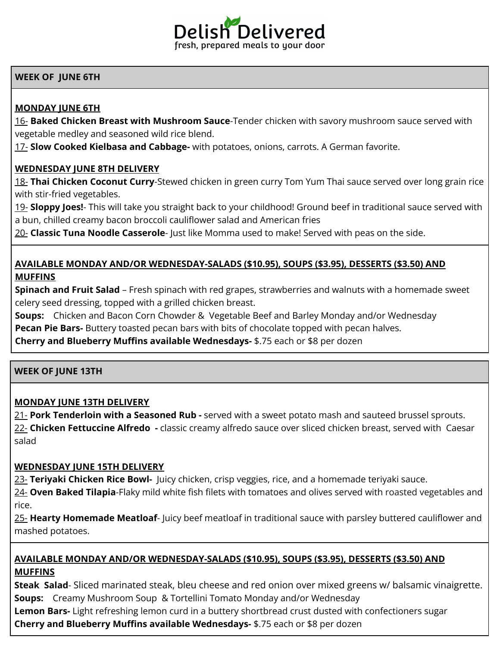

# **WEEK OF JUNE 6TH**

# **MONDAY JUNE 6TH**

16- **Baked Chicken Breast with Mushroom Sauce**-Tender chicken with savory mushroom sauce served with vegetable medley and seasoned wild rice blend.

17- **Slow Cooked Kielbasa and Cabbage-** with potatoes, onions, carrots. A German favorite.

### **WEDNESDAY JUNE 8TH DELIVERY**

18- **Thai Chicken Coconut Curry**-Stewed chicken in green curry Tom Yum Thai sauce served over long grain rice with stir-fried vegetables.

19- **Sloppy Joes!**- This will take you straight back to your childhood! Ground beef in traditional sauce served with a bun, chilled creamy bacon broccoli cauliflower salad and American fries

20- **Classic Tuna Noodle Casserole**- Just like Momma used to make! Served with peas on the side.

# **AVAILABLE MONDAY AND/OR WEDNESDAY-SALADS (\$10.95), SOUPS (\$3.95), DESSERTS (\$3.50) AND MUFFINS**

**Spinach and Fruit Salad** – Fresh spinach with red grapes, strawberries and walnuts with a homemade sweet celery seed dressing, topped with a grilled chicken breast.

**Soups:** Chicken and Bacon Corn Chowder & Vegetable Beef and Barley Monday and/or Wednesday **Pecan Pie Bars-** Buttery toasted pecan bars with bits of chocolate topped with pecan halves.

**Cherry and Blueberry Muffins available Wednesdays-** \$.75 each or \$8 per dozen

### **WEEK OF JUNE 13TH**

## **MONDAY JUNE 13TH DELIVERY**

21- **Pork Tenderloin with a Seasoned Rub -** served with a sweet potato mash and sauteed brussel sprouts. 22- **Chicken Fettuccine Alfredo -** classic creamy alfredo sauce over sliced chicken breast, served with Caesar salad

## **WEDNESDAY JUNE 15TH DELIVERY**

23- **Teriyaki Chicken Rice Bowl-** Juicy chicken, crisp veggies, rice, and a homemade teriyaki sauce. 24- **Oven Baked Tilapia**-Flaky mild white fish filets with tomatoes and olives served with roasted vegetables and rice.

25- **Hearty Homemade Meatloaf**- Juicy beef meatloaf in traditional sauce with parsley buttered cauliflower and mashed potatoes.

# **AVAILABLE MONDAY AND/OR WEDNESDAY-SALADS (\$10.95), SOUPS (\$3.95), DESSERTS (\$3.50) AND MUFFINS**

**Steak Salad**- Sliced marinated steak, bleu cheese and red onion over mixed greens w/ balsamic vinaigrette. **Soups:** Creamy Mushroom Soup & Tortellini Tomato Monday and/or Wednesday

**Lemon Bars-** Light refreshing lemon curd in a buttery shortbread crust dusted with confectioners sugar

**Cherry and Blueberry Muffins available Wednesdays-** \$.75 each or \$8 per dozen